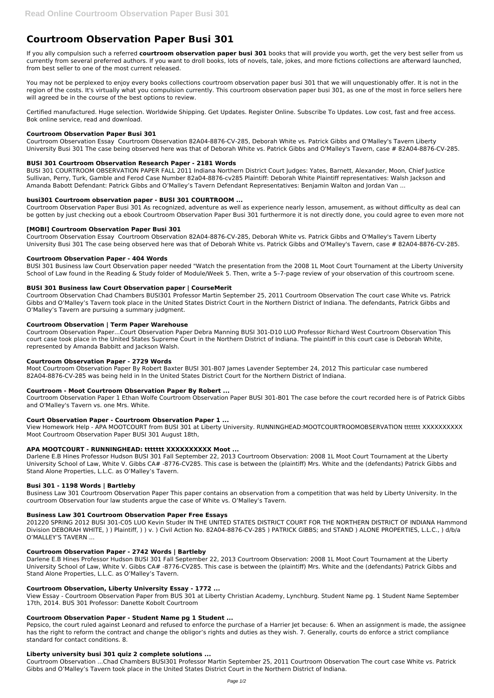# **Courtroom Observation Paper Busi 301**

If you ally compulsion such a referred **courtroom observation paper busi 301** books that will provide you worth, get the very best seller from us currently from several preferred authors. If you want to droll books, lots of novels, tale, jokes, and more fictions collections are afterward launched, from best seller to one of the most current released.

You may not be perplexed to enjoy every books collections courtroom observation paper busi 301 that we will unquestionably offer. It is not in the region of the costs. It's virtually what you compulsion currently. This courtroom observation paper busi 301, as one of the most in force sellers here will agreed be in the course of the best options to review.

Certified manufactured. Huge selection. Worldwide Shipping. Get Updates. Register Online. Subscribe To Updates. Low cost, fast and free access. Bok online service, read and download.

#### **Courtroom Observation Paper Busi 301**

Courtroom Observation Essay Courtroom Observation 82A04-8876-CV-285, Deborah White vs. Patrick Gibbs and O'Malley's Tavern Liberty University Busi 301 The case being observed here was that of Deborah White vs. Patrick Gibbs and O'Malley's Tavern, case # 82A04-8876-CV-285.

# **BUSI 301 Courtroom Observation Research Paper - 2181 Words**

BUSI 301 COURTROOM OBSERVATION PAPER FALL 2011 Indiana Northern District Court Judges: Yates, Barnett, Alexander, Moon, Chief Justice Sullivan, Perry, Turk, Gamble and Ferod Case Number 82a04-8876-cv285 Plaintiff: Deborah White Plaintiff representatives: Walsh Jackson and Amanda Babott Defendant: Patrick Gibbs and O'Malley's Tavern Defendant Representatives: Benjamin Walton and Jordan Van ...

# **busi301 Courtroom observation paper - BUSI 301 COURTROOM ...**

Courtroom Observation Paper Busi 301 As recognized, adventure as well as experience nearly lesson, amusement, as without difficulty as deal can be gotten by just checking out a ebook Courtroom Observation Paper Busi 301 furthermore it is not directly done, you could agree to even more not

# **[MOBI] Courtroom Observation Paper Busi 301**

Courtroom Observation Essay Courtroom Observation 82A04-8876-CV-285, Deborah White vs. Patrick Gibbs and O'Malley's Tavern Liberty University Busi 301 The case being observed here was that of Deborah White vs. Patrick Gibbs and O'Malley's Tavern, case # 82A04-8876-CV-285.

# **Courtroom Observation Paper - 404 Words**

BUSI 301 Business law Court Observation paper needed "Watch the presentation from the 2008 1L Moot Court Tournament at the Liberty University School of Law found in the Reading & Study folder of Module/Week 5. Then, write a 5–7-page review of your observation of this courtroom scene.

#### **BUSI 301 Business law Court Observation paper | CourseMerit**

Courtroom Observation Chad Chambers BUSI301 Professor Martin September 25, 2011 Courtroom Observation The court case White vs. Patrick Gibbs and O'Malley's Tavern took place in the United States District Court in the Northern District of Indiana. The defendants, Patrick Gibbs and O'Malley's Tavern are pursuing a summary judgment.

#### **Courtroom Observation | Term Paper Warehouse**

Courtroom Observation Paper...Court Observation Paper Debra Manning BUSI 301-D10 LUO Professor Richard West Courtroom Observation This court case took place in the United States Supreme Court in the Northern District of Indiana. The plaintiff in this court case is Deborah White, represented by Amanda Babbitt and Jackson Walsh.

#### **Courtroom Observation Paper - 2729 Words**

Moot Courtroom Observation Paper By Robert Baxter BUSI 301-B07 James Lavender September 24, 2012 This particular case numbered 82A04-8876-CV-285 was being held in In the United States District Court for the Northern District of Indiana.

# **Courtroom - Moot Courtroom Observation Paper By Robert ...**

Courtroom Observation Paper 1 Ethan Wolfe Courtroom Observation Paper BUSI 301-B01 The case before the court recorded here is of Patrick Gibbs and O'Malley's Tavern vs. one Mrs. White.

#### **Court Observation Paper - Courtroom Observation Paper 1 ...**

View Homework Help - APA MOOTCOURT from BUSI 301 at Liberty University. RUNNINGHEAD:MOOTCOURTROOMOBSERVATION ttttttt XXXXXXXXXX Moot Courtroom Observation Paper BUSI 301 August 18th,

#### **APA MOOTCOURT - RUNNINGHEAD: ttttttt XXXXXXXXXX Moot ...**

Darlene E.B Hines Professor Hudson BUSI 301 Fall September 22, 2013 Courtroom Observation: 2008 1L Moot Court Tournament at the Liberty University School of Law, White V. Gibbs CA# -8776-CV285. This case is between the (plaintiff) Mrs. White and the (defendants) Patrick Gibbs and Stand Alone Properties, L.L.C. as O'Malley's Tavern.

#### **Busi 301 - 1198 Words | Bartleby**

Business Law 301 Courtroom Observation Paper This paper contains an observation from a competition that was held by Liberty University. In the courtroom Observation four law students argue the case of White vs. O'Malley's Tavern.

#### **Business Law 301 Courtroom Observation Paper Free Essays**

201220 SPRING 2012 BUSI 301-C05 LUO Kevin Studer IN THE UNITED STATES DISTRICT COURT FOR THE NORTHERN DISTRICT OF INDIANA Hammond

### Division DEBORAH WHITE, ) ) Plaintiff, ) ) v. ) Civil Action No. 82A04-8876-CV-285 ) PATRICK GIBBS; and STAND ) ALONE PROPERTIES, L.L.C., ) d/b/a O'MALLEY'S TAVERN ...

#### **Courtroom Observation Paper - 2742 Words | Bartleby**

Darlene E.B Hines Professor Hudson BUSI 301 Fall September 22, 2013 Courtroom Observation: 2008 1L Moot Court Tournament at the Liberty University School of Law, White V. Gibbs CA# -8776-CV285. This case is between the (plaintiff) Mrs. White and the (defendants) Patrick Gibbs and Stand Alone Properties, L.L.C. as O'Malley's Tavern.

# **Courtroom Observation, Liberty University Essay - 1772 ...**

View Essay - Courtroom Observation Paper from BUS 301 at Liberty Christian Academy, Lynchburg. Student Name pg. 1 Student Name September 17th, 2014. BUS 301 Professor: Danette Kobolt Courtroom

#### **Courtroom Observation Paper - Student Name pg 1 Student ...**

Pepsico, the court ruled against Leonard and refused to enforce the purchase of a Harrier Jet because: 6. When an assignment is made, the assignee has the right to reform the contract and change the obligor's rights and duties as they wish. 7. Generally, courts do enforce a strict compliance standard for contact conditions. 8.

# **Liberty university busi 301 quiz 2 complete solutions ...**

Courtroom Observation ...Chad Chambers BUSI301 Professor Martin September 25, 2011 Courtroom Observation The court case White vs. Patrick Gibbs and O'Malley's Tavern took place in the United States District Court in the Northern District of Indiana.